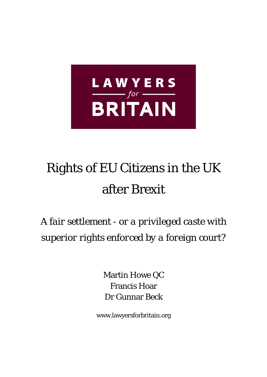

# Rights of EU Citizens in the UK after Brexit

*A fair settlement - or a privileged caste with superior rights enforced by a foreign court?*

> Martin Howe QC Francis Hoar Dr Gunnar Beck

www.lawyersforbritain.org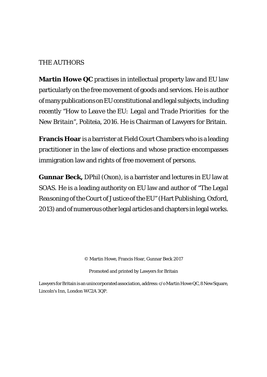#### THE AUTHORS

**Martin Howe QC** practises in intellectual property law and EU law particularly on the free movement of goods and services. He is author of many publications on EU constitutional and legal subjects, including recently "*How to Leave the EU: Legal and Trade Priorities for the New Britain*", Politeia, 2016. He is Chairman of Lawyers for Britain.

**Francis Hoar** is a barrister at Field Court Chambers who is a leading practitioner in the law of elections and whose practice encompasses immigration law and rights of free movement of persons.

**Gunnar Beck,** DPhil (Oxon), is a barrister and lectures in EU law at SOAS. He is a leading authority on EU law and author of "*The Legal Reasoning of the Court of Justice of the EU*" (Hart Publishing, Oxford, 2013) and of numerous other legal articles and chapters in legal works.

© Martin Howe, Francis Hoar, Gunnar Beck 2017

Promoted and printed by Lawyers for Britain

Lawyers for Britain is an unincorporated association, address: c/o Martin Howe QC, 8 New Square, Lincoln's Inn, London WC2A 3QP.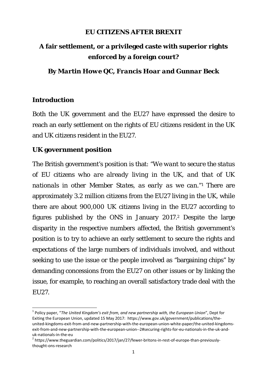#### **EU CITIZENS AFTER BREXIT**

# **A fair settlement, or a privileged caste with superior rights enforced by a foreign court?**

**By** *Martin Howe QC, Francis Hoar and Gunnar Beck*

## **Introduction**

Both the UK government and the EU27 have expressed the desire to reach an early settlement on the rights of EU citizens resident in the UK and UK citizens resident in the EU27.

## **UK government position**

The British government's position is that: "*We want to secure the status of EU citizens who are already living in the UK, and that of UK nationals in other Member States, as early as we can*."1 There are approximately 3.2 million citizens from the EU27 living in the UK, while there are about 900,000 UK citizens living in the EU27 according to figures published by the ONS in January 2017.2 Despite the large disparity in the respective numbers affected, the British government's position is to try to achieve an early settlement to secure the rights and expectations of the large numbers of individuals involved, and without seeking to use the issue or the people involved as "bargaining chips" by demanding concessions from the EU27 on other issues or by linking the issue, for example, to reaching an overall satisfactory trade deal with the EU27.

<sup>1</sup> Policy paper, "*The United Kingdom's exit from, and new partnership with, the European Union*", Dept for Exiting the European Union, updated 15 May 2017: https://www.gov.uk/government/publications/the‐ united‐kingdoms‐exit‐from‐and‐new‐partnership‐with‐the‐european‐union‐white‐paper/the‐united‐kingdoms‐ exit‐from‐and‐new‐partnership‐with‐the‐european‐union‐‐2#securing‐rights‐for‐eu‐nationals‐in‐the‐uk‐and‐ uk‐nationals‐in‐the‐eu<br><sup>2</sup> https://www.theguardian.com/politics/2017/jan/27/fewer‐britons‐in‐rest‐of‐europe‐than‐previously‐

thought‐ons‐research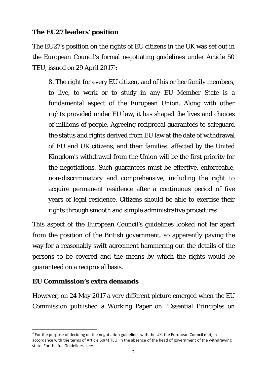## **The EU27 leaders' position**

The EU27's position on the rights of EU citizens in the UK was set out in the European Council's formal negotiating guidelines under Article 50 TEU, issued on 29 April 20173:

8. The right for every EU citizen, and of his or her family members, to live, to work or to study in any EU Member State is a fundamental aspect of the European Union. Along with other rights provided under EU law, it has shaped the lives and choices of millions of people. Agreeing reciprocal guarantees to safeguard the status and rights derived from EU law at the date of withdrawal of EU and UK citizens, and their families, affected by the United Kingdom's withdrawal from the Union will be the first priority for the negotiations. Such guarantees must be effective, enforceable, non-discriminatory and comprehensive, including the right to acquire permanent residence after a continuous period of five years of legal residence. Citizens should be able to exercise their rights through smooth and simple administrative procedures.

This aspect of the European Council's guidelines looked not far apart from the position of the British government, so apparently paving the way for a reasonably swift agreement hammering out the details of the persons to be covered and the means by which the rights would be guaranteed on a reciprocal basis.

## **EU Commission's extra demands**

However, on 24 May 2017 a very different picture emerged when the EU Commission published a Working Paper on "Essential Principles on

  $3$  For the purpose of deciding on the negotiation guidelines with the UK, the European Council met, in accordance with the terms of Article 50(4) TEU, in the absence of the head of government of the withdrawing state. For the full Guidelines, see: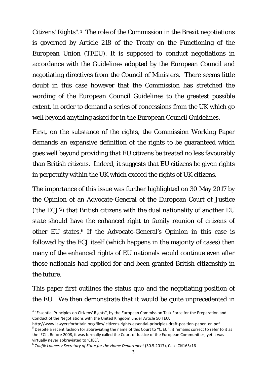Citizens' Rights".4 The role of the Commission in the Brexit negotiations is governed by Article 218 of the Treaty on the Functioning of the European Union (TFEU). It is supposed to conduct negotiations in accordance with the Guidelines adopted by the European Council and negotiating directives from the Council of Ministers. There seems little doubt in this case however that the Commission has stretched the wording of the European Council Guidelines to the greatest possible extent, in order to demand a series of concessions from the UK which go well beyond anything asked for in the European Council Guidelines.

First, on the substance of the rights, the Commission Working Paper demands an expansive definition of the rights to be guaranteed which goes well beyond providing that EU citizens be treated no less favourably than British citizens. Indeed, it suggests that EU citizens be given rights in perpetuity within the UK which exceed the rights of UK citizens.

The importance of this issue was further highlighted on 30 May 2017 by the Opinion of an Advocate-General of the European Court of Justice ('the ECJ'5) that British citizens with the dual nationality of another EU state should have the enhanced right to family reunion of citizens of other EU states.6 If the Advocate-General's Opinion in this case is followed by the ECJ itself (which happens in the majority of cases) then many of the enhanced rights of EU nationals would continue even after those nationals had applied for and been granted British citizenship in the future.

This paper first outlines the status quo and the negotiating position of the EU. We then demonstrate that it would be quite unprecedented in

<sup>4</sup> "Essential Principles on Citizens' Rights", by the European Commission Task Force for the Preparation and Conduct of the Negotiations with the United Kingdom under Article 50 TEU:

http://www.lawyersforbritain.org/files/ citizens-rights-essential-principles-draft-position-paper\_en.pdf<br><sup>5</sup> Despite a recent fashion for abbreviating the name of this Court to "CJEU", it remains correct to refer to it as the 'ECJ'. Before 2008, it was formally called the Court of Justice of the European Communities, yet it was virtually never abbreviated to 'CJEC'. <sup>6</sup> *Toufik Lounes <sup>v</sup> Secretary of State for the Home Department* (30.5.2017), Case <sup>C</sup>165/16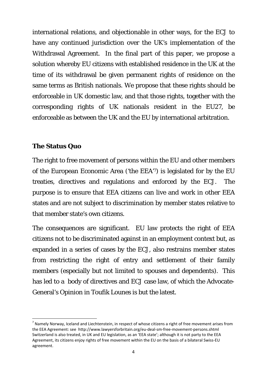international relations, and objectionable in other ways, for the ECJ to have any continued jurisdiction over the UK's implementation of the Withdrawal Agreement. In the final part of this paper, we propose a solution whereby EU citizens with established residence in the UK at the time of its withdrawal be given permanent rights of residence on the same terms as British nationals. We propose that these rights should be enforceable in UK domestic law, and that those rights, together with the corresponding rights of UK nationals resident in the EU27, be enforceable as between the UK and the EU by international arbitration.

#### **The Status Quo**

The right to free movement of persons within the EU and other members of the European Economic Area ('the EEA'7) is legislated for by the EU treaties, directives and regulations and enforced by the ECJ. The purpose is to ensure that EEA citizens can live and work in other EEA states and are not subject to discrimination by member states relative to that member state's own citizens.

The consequences are significant. EU law protects the right of EEA citizens not to be discriminated against in an employment context but, as expanded in a series of cases by the ECJ, also restrains member states from restricting the right of entry and settlement of their family members (especially but not limited to spouses and dependents). This has led to a body of directives and ECJ case law, of which the Advocate-General's Opinion in *Toufik Lounes* is but the latest.

 $<sup>7</sup>$  Namely Norway, Iceland and Liechtenstein, in respect of whose citizens a right of free movement arises from</sup> the EEA Agreement: see http://www.lawyersforbritain.org/eu‐deal‐sm‐free‐movement‐persons.shtml Switzerland is also treated, in UK and EU legislation, as an 'EEA state'; although it is not party to the EEA Agreement, its citizens enjoy rights of free movement within the EU on the basis of a bilateral Swiss‐EU agreement.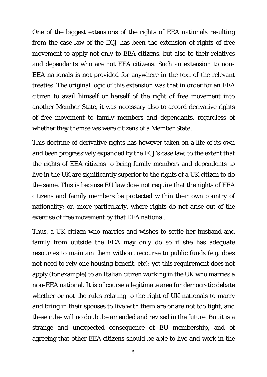One of the biggest extensions of the rights of EEA nationals resulting from the case-law of the ECJ has been the extension of rights of free movement to apply not only to EEA citizens, but also to their relatives and dependants who are not EEA citizens. Such an extension to non-EEA nationals is not provided for anywhere in the text of the relevant treaties. The original logic of this extension was that in order for an EEA citizen to avail himself or herself of the right of free movement into another Member State, it was necessary also to accord derivative rights of free movement to family members and dependants, regardless of whether they themselves were citizens of a Member State.

This doctrine of derivative rights has however taken on a life of its own and been progressively expanded by the ECJ's case law, to the extent that the rights of EEA citizens to bring family members and dependents to live in the UK are significantly superior to the rights of a UK citizen to do the same. This is because EU law does not require that the rights of EEA citizens and family members be protected *within* their own country of nationality; or, more particularly, where rights do not arise out of the exercise of free movement by that EEA national.

Thus, a UK citizen who marries and wishes to settle her husband and family from outside the EEA may only do so if she has adequate resources to maintain them without recourse to public funds (e.g. does not need to rely one housing benefit, etc); yet this requirement does not apply (for example) to an Italian citizen working in the UK who marries a non-EEA national. It is of course a legitimate area for democratic debate whether or not the rules relating to the right of UK nationals to marry and bring in their spouses to live with them are or are not too tight, and these rules will no doubt be amended and revised in the future. But it is a strange and unexpected consequence of EU membership, and of agreeing that other EEA citizens should be able to live and work in the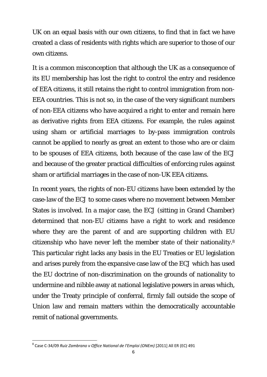UK on an equal basis with our own citizens, to find that in fact we have created a class of residents with rights which are superior to those of our own citizens.

It is a common misconception that although the UK as a consequence of its EU membership has lost the right to control the entry and residence of EEA citizens, it still retains the right to control immigration from non-EEA countries. This is not so, in the case of the very significant numbers of non-EEA citizens who have acquired a right to enter and remain here as derivative rights from EEA citizens. For example, the rules against using sham or artificial marriages to by-pass immigration controls cannot be applied to nearly as great an extent to those who are or claim to be spouses of EEA citizens, both because of the case law of the ECJ and because of the greater practical difficulties of enforcing rules against sham or artificial marriages in the case of non-UK EEA citizens.

In recent years, the rights of non-EU citizens have been extended by the case-law of the ECJ to some cases where no movement between Member States is involved. In a major case, the ECJ (sitting in Grand Chamber) determined that non-EU citizens have a right to work and residence where they are the parent of and are supporting children with EU citizenship who have never left the member state of their nationality.8 This particular right lacks any basis in the EU Treaties or EU legislation and arises purely from the expansive case law of the ECJ which has used the EU doctrine of non-discrimination on the grounds of nationality to undermine and nibble away at national legislative powers in areas which, under the Treaty principle of conferral, firmly fall outside the scope of Union law and remain matters within the democratically accountable remit of national governments.

 <sup>8</sup> Case C‐34/09 *Ruiz Zambrano v Office National de l'Emploi (ONEm)* [2011] All ER (EC) 491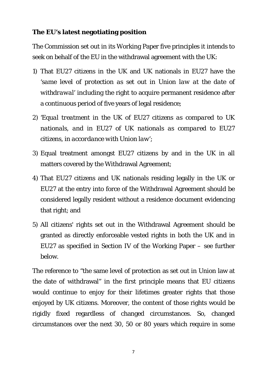## **The EU's latest negotiating position**

The Commission set out in its Working Paper five principles it intends to seek on behalf of the EU in the withdrawal agreement with the UK:

- 1) That EU27 citizens in the UK and UK nationals in EU27 have the '*same level of protection as set out in Union law at the date of withdrawal*' including the right to acquire permanent residence after a continuous period of five years of legal residence;
- 2) '*Equal treatment in the UK of EU27 citizens as compared to UK nationals, and in EU27 of UK nationals as compared to EU27 citizens, in accordance with Union law*';
- 3) Equal treatment amongst EU27 citizens by and in the UK in all matters covered by the Withdrawal Agreement;
- 4) That EU27 citizens and UK nationals residing legally in the UK or EU27 at the entry into force of the Withdrawal Agreement should be considered legally resident without a residence document evidencing that right; and
- 5) All citizens' rights set out in the Withdrawal Agreement should be granted as directly enforceable vested rights in both the UK and in EU27 as specified in Section IV of the Working Paper – see further below.

The reference to "the same level of protection as set out in Union law at the date of withdrawal" in the first principle means that EU citizens would continue to enjoy for their lifetimes greater rights that those enjoyed by UK citizens. Moreover, the content of those rights would be rigidly fixed regardless of changed circumstances. So, changed circumstances over the next 30, 50 or 80 years which require in some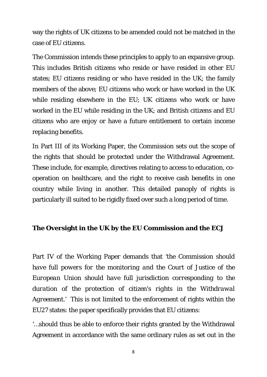way the rights of UK citizens to be amended could not be matched in the case of EU citizens.

The Commission intends these principles to apply to an expansive group. This includes British citizens who reside or *have resided* in other EU states; EU citizens residing or who *have resided* in the UK; the family members of the above; EU citizens who work or have worked in the UK while residing elsewhere in the EU; UK citizens who work or have worked in the EU while residing in the UK; and British citizens and EU citizens who are enjoy or have a future entitlement to certain income replacing benefits.

In Part III of its Working Paper, the Commission sets out the scope of the rights that should be protected under the Withdrawal Agreement. These include, for example, directives relating to access to education, cooperation on healthcare, and the right to receive cash benefits in one country while living in another. This detailed panoply of rights is particularly ill suited to be rigidly fixed over such a long period of time.

#### **The Oversight in the UK by the EU Commission and the ECJ**

Part IV of the Working Paper demands that '*the Commission should have full powers for the monitoring and the Court of Justice of the European Union should have full jurisdiction corresponding to the duration of the protection of citizen's rights in the Withdrawal Agreement.*' This is not limited to the enforcement of rights within the EU27 states: the paper specifically provides that EU citizens:

'…should thus be able to enforce their rights granted by the Withdrawal Agreement in accordance with the same ordinary rules as set out in the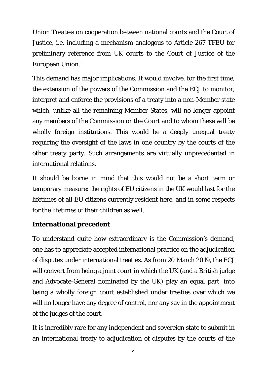Union Treaties on cooperation between national courts and the Court of Justice, i.e. including a mechanism analogous to Article 267 TFEU for preliminary reference from UK courts to the Court of Justice of the European Union.'

This demand has major implications. It would involve, for the first time, the extension of the powers of the Commission and the ECJ to monitor, interpret and enforce the provisions of a treaty into a non-Member state which, unlike all the remaining Member States, will no longer appoint any members of the Commission or the Court and to whom these will be wholly foreign institutions. This would be a deeply unequal treaty requiring the oversight of the laws in one country by the courts of the other treaty party. Such arrangements are virtually unprecedented in international relations.

It should be borne in mind that this would not be a short term or temporary measure: the rights of EU citizens in the UK would last for the lifetimes of all EU citizens currently resident here, and in some respects for the lifetimes of their children as well.

## **International precedent**

To understand quite how extraordinary is the Commission's demand, one has to appreciate accepted international practice on the adjudication of disputes under international treaties. As from 20 March 2019, the ECJ will convert from being a joint court in which the UK (and a British judge and Advocate-General nominated by the UK) play an equal part, into being a wholly foreign court established under treaties over which we will no longer have any degree of control, nor any say in the appointment of the judges of the court.

It is incredibly rare for any independent and sovereign state to submit in an international treaty to adjudication of disputes by the courts of the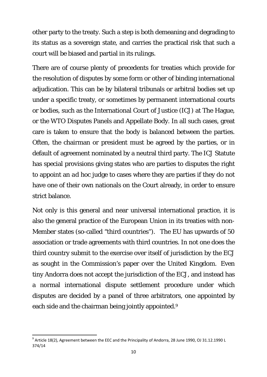other party to the treaty. Such a step is both demeaning and degrading to its status as a sovereign state, and carries the practical risk that such a court will be biased and partial in its rulings.

There are of course plenty of precedents for treaties which provide for the resolution of disputes by some form or other of binding international adjudication. This can be by bilateral tribunals or arbitral bodies set up under a specific treaty, or sometimes by permanent international courts or bodies, such as the International Court of Justice (ICJ) at The Hague, or the WTO Disputes Panels and Appellate Body. In all such cases, great care is taken to ensure that the body is balanced between the parties. Often, the chairman or president must be agreed by the parties, or in default of agreement nominated by a neutral third party. The ICJ Statute has special provisions giving states who are parties to disputes the right to appoint an *ad hoc* judge to cases where they are parties if they do not have one of their own nationals on the Court already, in order to ensure strict balance.

Not only is this general and near universal international practice, it is also the general practice of the European Union in its treaties with non-Member states (so-called "third countries"). The EU has upwards of 50 association or trade agreements with third countries. In not one does the third country submit to the exercise over itself of jurisdiction by the ECJ as sought in the Commission's paper over the United Kingdom. Even tiny Andorra does not accept the jurisdiction of the ECJ, and instead has a normal international dispute settlement procedure under which disputes are decided by a panel of three arbitrators, one appointed by each side and the chairman being jointly appointed.9

 $^9$  Article 18(2), Agreement between the EEC and the Principality of Andorra, 28 June 1990, OJ 31.12.1990 L 374/14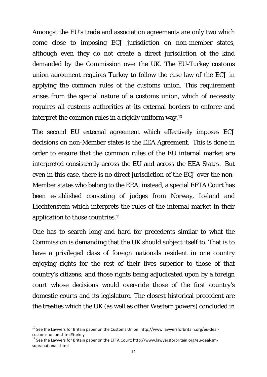Amongst the EU's trade and association agreements are only two which come close to imposing ECJ jurisdiction on non-member states, although even they do not create a direct jurisdiction of the kind demanded by the Commission over the UK. The EU-Turkey customs union agreement requires Turkey to follow the case law of the ECJ in applying the common rules of the customs union. This requirement arises from the special nature of a customs union, which of necessity requires all customs authorities at its external borders to enforce and interpret the common rules in a rigidly uniform way.10

The second EU external agreement which effectively imposes ECJ decisions on non-Member states is the EEA Agreement. This is done in order to ensure that the common rules of the EU internal market are interpreted consistently across the EU and across the EEA States. But even in this case, there is no direct jurisdiction of the ECJ over the non-Member states who belong to the EEA: instead, a special EFTA Court has been established consisting of judges from Norway, Iceland and Liechtenstein which interprets the rules of the internal market in their application to those countries.11

One has to search long and hard for precedents similar to what the Commission is demanding that the UK should subject itself to. That is to have a privileged class of foreign nationals resident in one country enjoying rights for the rest of their lives superior to those of that country's citizens; and those rights being adjudicated upon by a foreign court whose decisions would over-ride those of the first country's domestic courts and its legislature. The closest historical precedent are the treaties which the UK (as well as other Western powers) concluded in

 $10$  See the Lawyers for Britain paper on the Customs Union: http://www.lawyersforbritain.org/eu-deal-

customs-union.shtml#turkey<br><sup>11</sup> See the Lawyers for Britain paper on the EFTA Court: http://www.lawyersforbritain.org/eu-deal-smsupranational.shtml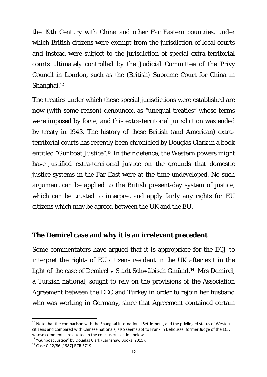the 19th Century with China and other Far Eastern countries, under which British citizens were exempt from the jurisdiction of local courts and instead were subject to the jurisdiction of special extra-territorial courts ultimately controlled by the Judicial Committee of the Privy Council in London, such as the (British) Supreme Court for China in Shanghai.<sup>12</sup>

The treaties under which these special jurisdictions were established are now (with some reason) denounced as "unequal treaties" whose terms were imposed by force; and this extra-territorial jurisdiction was ended by treaty in 1943. The history of these British (and American) extraterritorial courts has recently been chronicled by Douglas Clark in a book entitled "Gunboat Justice".13 In their defence, the Western powers might have justified extra-territorial justice on the grounds that domestic justice systems in the Far East were at the time undeveloped. No such argument can be applied to the British present-day system of justice, which can be trusted to interpret and apply fairly any rights for EU citizens which may be agreed between the UK and the EU.

#### **The** *Demirel* **case and why it is an irrelevant precedent**

Some commentators have argued that it is appropriate for the ECJ to interpret the rights of EU citizens resident in the UK after exit in the light of the case of *Demirel v Stadt Schwäbisch Gmünd*.14 Mrs Demirel, a Turkish national, sought to rely on the provisions of the Association Agreement between the EEC and Turkey in order to rejoin her husband who was working in Germany, since that Agreement contained certain

<sup>&</sup>lt;sup>12</sup> Note that the comparison with the Shanghai International Settlement, and the privileged status of Western citizens and compared with Chinese nationals, also seems apt to Franklin Dehousse, former Judge of the ECJ,

whose comments are quoted in the conclusion section below.<br><sup>13</sup> "Gunboat Justice" by Douglas Clark (Earnshaw Books, 2015).<br><sup>14</sup> Case C-12/86 [1987] ECR 3719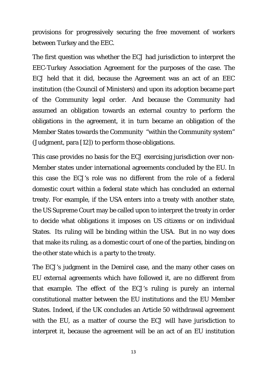provisions for progressively securing the free movement of workers between Turkey and the EEC.

The first question was whether the ECJ had jurisdiction to interpret the EEC-Turkey Association Agreement for the purposes of the case. The ECJ held that it did, because the Agreement was an act of an EEC institution (the Council of Ministers) and upon its adoption became part of the Community legal order. And because the Community had assumed an obligation towards an external country to perform the obligations in the agreement, it in turn became an obligation of the Member States towards the Community "within the Community system" (Judgment, para [12]) to perform those obligations.

This case provides no basis for the ECJ exercising jurisdiction over non-Member states under international agreements concluded by the EU. In this case the ECJ's role was no different from the role of a federal domestic court within a federal state which has concluded an external treaty. For example, if the USA enters into a treaty with another state, the US Supreme Court may be called upon to interpret the treaty in order to decide what obligations it imposes on US citizens or on individual States. Its ruling will be binding within the USA. But in no way does that make its ruling, as a domestic court of one of the parties, binding on the other state which is a party to the treaty.

The ECJ's judgment in the *Demirel* case, and the many other cases on EU external agreements which have followed it, are no different from that example. The effect of the ECJ's ruling is purely an internal constitutional matter between the EU institutions and the EU Member States. Indeed, if the UK concludes an Article 50 withdrawal agreement with the EU, as a matter of course the ECJ will have jurisdiction to interpret it, because the agreement will be an act of an EU institution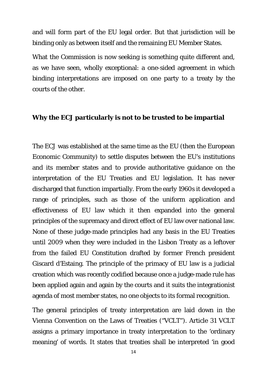and will form part of the EU legal order. But that jurisdiction will be binding only as between itself and the remaining EU Member States.

What the Commission is now seeking is something quite different and, as we have seen, wholly exceptional: a one-sided agreement in which binding interpretations are imposed on one party to a treaty by the courts of the other.

#### **Why the ECJ particularly is not to be trusted to be impartial**

The ECJ was established at the same time as the EU (then the European Economic Community) to settle disputes between the EU's institutions and its member states and to provide authoritative guidance on the interpretation of the EU Treaties and EU legislation. It has never discharged that function impartially. From the early 1960s it developed a range of principles, such as those of the uniform application and effectiveness of EU law which it then expanded into the general principles of the supremacy and direct effect of EU law over national law. None of these judge-made principles had any basis in the EU Treaties until 2009 when they were included in the Lisbon Treaty as a leftover from the failed EU Constitution drafted by former French president Giscard d'Estaing. The principle of the primacy of EU law is a judicial creation which was recently codified because once a judge-made rule has been applied again and again by the courts and it suits the integrationist agenda of most member states, no one objects to its formal recognition.

The general principles of treaty interpretation are laid down in the Vienna Convention on the Laws of Treaties ("VCLT"). Article 31 VCLT assigns a primary importance in treaty interpretation to the 'ordinary meaning' of words. It states that treaties shall be interpreted 'in good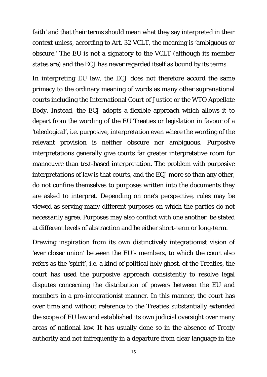faith' and that their terms should mean what they say interpreted in their context unless, according to Art. 32 VCLT, the meaning is 'ambiguous or obscure.' The EU is not a signatory to the VCLT (although its member states are) and the ECJ has never regarded itself as bound by its terms.

In interpreting EU law, the ECJ does not therefore accord the same primacy to the ordinary meaning of words as many other supranational courts including the International Court of Justice or the WTO Appellate Body. Instead, the ECJ adopts a flexible approach which allows it to depart from the wording of the EU Treaties or legislation in favour of a 'teleological', i.e. purposive, interpretation even where the wording of the relevant provision is neither obscure nor ambiguous. Purposive interpretations generally give courts far greater interpretative room for manoeuvre than text-based interpretation. The problem with purposive interpretations of law is that courts, and the ECJ more so than any other, do not confine themselves to purposes written into the documents they are asked to interpret. Depending on one's perspective, rules may be viewed as serving many different purposes on which the parties do not necessarily agree. Purposes may also conflict with one another, be stated at different levels of abstraction and be either short-term or long-term.

Drawing inspiration from its own distinctively integrationist vision of 'ever closer union' between the EU's members, to which the court also refers as the 'spirit', i.e. a kind of political holy ghost, of the Treaties, the court has used the purposive approach consistently to resolve legal disputes concerning the distribution of powers between the EU and members in a pro-integrationist manner. In this manner, the court has over time and without reference to the Treaties substantially extended the scope of EU law and established its own judicial oversight over many areas of national law. It has usually done so in the absence of Treaty authority and not infrequently in a departure from clear language in the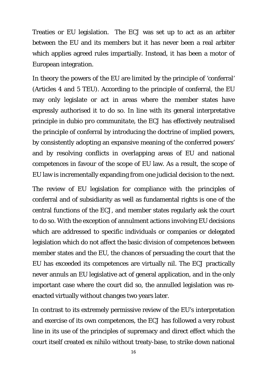Treaties or EU legislation. The ECJ was set up to act as an arbiter between the EU and its members but it has never been a real arbiter which applies agreed rules impartially. Instead, it has been a motor of European integration.

In theory the powers of the EU are limited by the principle of 'conferral' (Articles 4 and 5 TEU). According to the principle of conferral, the EU may only legislate or act in areas where the member states have expressly authorised it to do so. In line with its general interpretative principle *in dubio pro communitate*, the ECJ has effectively neutralised the principle of conferral by introducing the doctrine of implied powers, by consistently adopting an expansive meaning of the conferred powers' and by resolving conflicts in overlapping areas of EU and national competences in favour of the scope of EU law. As a result, the scope of EU law is incrementally expanding from one judicial decision to the next.

The review of EU legislation for compliance with the principles of conferral and of subsidiarity as well as fundamental rights is one of the central functions of the ECJ, and member states regularly ask the court to do so. With the exception of annulment actions involving EU decisions which are addressed to specific individuals or companies or delegated legislation which do not affect the basic division of competences between member states and the EU, the chances of persuading the court that the EU has exceeded its competences are virtually nil. The ECJ practically never annuls an EU legislative act of general application, and in the only important case where the court did so, the annulled legislation was reenacted virtually without changes two years later.

In contrast to its extremely permissive review of the EU's interpretation and exercise of its own competences, the ECJ has followed a very robust line in its use of the principles of supremacy and direct effect which the court itself created *ex nihilo* without treaty-base, to strike down national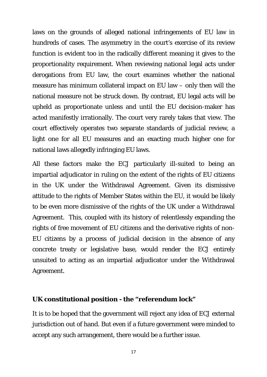laws on the grounds of alleged national infringements of EU law in hundreds of cases. The asymmetry in the court's exercise of its review function is evident too in the radically different meaning it gives to the proportionality requirement. When reviewing national legal acts under derogations from EU law, the court examines whether the national measure has minimum collateral impact on EU law – only then will the national measure not be struck down. By contrast, EU legal acts will be upheld as proportionate unless and until the EU decision-maker has acted manifestly irrationally. The court very rarely takes that view. The court effectively operates two separate standards of judicial review, a light one for all EU measures and an exacting much higher one for national laws allegedly infringing EU laws.

All these factors make the ECJ particularly ill-suited to being an impartial adjudicator in ruling on the extent of the rights of EU citizens in the UK under the Withdrawal Agreement. Given its dismissive attitude to the rights of Member States within the EU, it would be likely to be even more dismissive of the rights of the UK under a Withdrawal Agreement. This, coupled with its history of relentlessly expanding the rights of free movement of EU citizens and the derivative rights of non-EU citizens by a process of judicial decision in the absence of any concrete treaty or legislative base, would render the ECJ entirely unsuited to acting as an impartial adjudicator under the Withdrawal Agreement.

#### **UK constitutional position - the "referendum lock"**

It is to be hoped that the government will reject any idea of ECJ external jurisdiction out of hand. But even if a future government were minded to accept any such arrangement, there would be a further issue.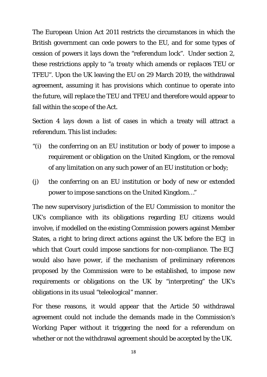The European Union Act 2011 restricts the circumstances in which the British government can cede powers to the EU, and for some types of cession of powers it lays down the "referendum lock". Under section 2, these restrictions apply to "*a treaty which amends or replaces TEU or TFEU*". Upon the UK leaving the EU on 29 March 2019, the withdrawal agreement, assuming it has provisions which continue to operate into the future, will replace the TEU and TFEU and therefore would appear to fall within the scope of the Act.

Section 4 lays down a list of cases in which a treaty will attract a referendum. This list includes:

- "(i) the conferring on an EU institution or body of power to impose a requirement or obligation on the United Kingdom, or the removal of any limitation on any such power of an EU institution or body;
- (j) the conferring on an EU institution or body of new or extended power to impose sanctions on the United Kingdom…"

The new supervisory jurisdiction of the EU Commission to monitor the UK's compliance with its obligations regarding EU citizens would involve, if modelled on the existing Commission powers against Member States, a right to bring direct actions against the UK before the ECJ in which that Court could impose sanctions for non-compliance. The ECJ would also have power, if the mechanism of preliminary references proposed by the Commission were to be established, to impose new requirements or obligations on the UK by "interpreting" the UK's obligations in its usual "teleological" manner.

For these reasons, it would appear that the Article 50 withdrawal agreement could not include the demands made in the Commission's Working Paper without it triggering the need for a referendum on whether or not the withdrawal agreement should be accepted by the UK.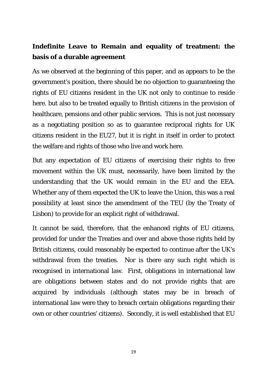## **Indefinite Leave to Remain and equality of treatment: the basis of a durable agreement**

As we observed at the beginning of this paper, and as appears to be the government's position, there should be no objection to guaranteeing the rights of EU citizens resident in the UK not only to continue to reside here. but also to be treated equally to British citizens in the provision of healthcare, pensions and other public services. This is not just necessary as a negotiating position so as to guarantee reciprocal rights for UK citizens resident in the EU27, but it is right in itself in order to protect the welfare and rights of those who live and work here.

But any expectation of EU citizens of exercising their rights to free movement within the UK must, necessarily, have been limited by the understanding that the UK would remain in the EU and the EEA. Whether any of them expected the UK to leave the Union, this was a real possibility at least since the amendment of the TEU (by the Treaty of Lisbon) to provide for an explicit right of withdrawal.

It cannot be said, therefore, that the enhanced rights of EU citizens, provided for under the Treaties and over and above those rights held by British citizens, could reasonably be expected to continue after the UK's withdrawal from the treaties. Nor is there any such right which is recognised in international law. First, obligations in international law are obligations between states and do not provide rights that are acquired by individuals (although states may be in breach of international law were they to breach certain obligations regarding their own or other countries' citizens). Secondly, it is well established that EU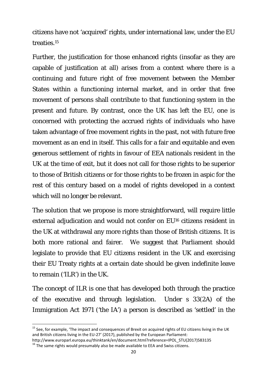citizens have not 'acquired' rights, under international law, under the EU treaties.15

Further, the justification for those enhanced rights (insofar as they are capable of justification at all) arises from a context where there is a continuing and future right of free movement between the Member States within a functioning internal market, and in order that free movement of persons shall contribute to that functioning system in the present and future. By contrast, once the UK has left the EU, one is concerned with protecting the accrued rights of individuals who have taken advantage of free movement rights in the past, not with future free movement as an end in itself. This calls for a fair and equitable and even generous settlement of rights in favour of EEA nationals resident in the UK at the time of exit, but it does not call for those rights to be superior to those of British citizens or for those rights to be frozen in aspic for the rest of this century based on a model of rights developed in a context which will no longer be relevant.

The solution that we propose is more straightforward, will require little external adjudication and would not confer on EU16 citizens resident in the UK at withdrawal any more rights than those of British citizens. It is both more rational and fairer. We suggest that Parliament should legislate to provide that EU citizens resident in the UK and exercising their EU Treaty rights at a certain date should be given indefinite leave to remain ('ILR') in the UK.

The concept of ILR is one that has developed both through the practice of the executive and through legislation. Under s 33(2A) of the Immigration Act 1971 ('the IA') a person is described as 'settled' in the

 <sup>15</sup> See, for example, 'The impact and consequences of Brexit on acquired rights of EU citizens living in the UK and British citizens living in the EU-27' (2017), published by the European Parliament:

http://www.europarl.europa.eu/thinktank/en/document.html?reference=IPOL\_STU(2017)583135<br><sup>16</sup> The same rights would presumably also be made available to EEA and Swiss citizens.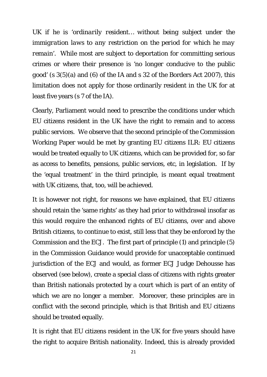UK if he is '*ordinarily resident… without being subject under the immigration laws to any restriction on the period for which he may remain*'. While most are subject to deportation for committing serious crimes or where their presence is '*no longer conducive to the public good*' (s 3(5)(a) and (6) of the IA and s 32 of the Borders Act 2007), this limitation does not apply for those ordinarily resident in the UK for at least five years (s 7 of the IA).

Clearly, Parliament would need to prescribe the conditions under which EU citizens resident in the UK have the right to remain and to access public services. We observe that the second principle of the Commission Working Paper would be met by granting EU citizens ILR: EU citizens would be treated equally to UK citizens, which can be provided for, so far as access to benefits, pensions, public services, etc, in legislation. If by the 'equal treatment' in the third principle, is meant equal treatment with UK citizens, that, too, will be achieved.

It is however not right, for reasons we have explained, that EU citizens should retain the 'same rights' as they had prior to withdrawal insofar as this would require the enhanced rights of EU citizens, over and above British citizens, to continue to exist, still less that they be enforced by the Commission and the ECJ. The first part of principle (1) and principle (5) in the Commission Guidance would provide for unacceptable continued jurisdiction of the ECJ and would, as former ECJ Judge Dehousse has observed (see below), create a special class of citizens with rights greater than British nationals protected by a court which is part of an entity of which we are no longer a member. Moreover, these principles are in conflict with the second principle, which is that British and EU citizens should be treated equally.

It is right that EU citizens resident in the UK for five years should have the right to acquire British nationality. Indeed, this is already provided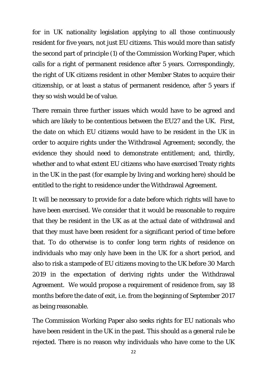for in UK nationality legislation applying to all those continuously resident for five years, not just EU citizens. This would more than satisfy the second part of principle (1) of the Commission Working Paper, which calls for a right of permanent residence after 5 years. Correspondingly, the right of UK citizens resident in other Member States to acquire their citizenship, or at least a status of permanent residence, after 5 years if they so wish would be of value.

There remain three further issues which would have to be agreed and which are likely to be contentious between the EU27 and the UK. First, the date on which EU citizens would have to be resident in the UK in order to acquire rights under the Withdrawal Agreement; secondly, the evidence they should need to demonstrate entitlement; and, thirdly, whether and to what extent EU citizens who have exercised Treaty rights in the UK in the past (for example by living and working here) should be entitled to the right to residence under the Withdrawal Agreement.

It will be necessary to provide for a date before which rights will have to have been exercised. We consider that it would be reasonable to require that they be resident in the UK as at the actual date of withdrawal and that they must have been resident for a significant period of time before that. To do otherwise is to confer long term rights of residence on individuals who may only have been in the UK for a short period, and also to risk a stampede of EU citizens moving to the UK before 30 March 2019 in the expectation of deriving rights under the Withdrawal Agreement. We would propose a requirement of residence from, say 18 months before the date of exit, i.e. from the beginning of September 2017 as being reasonable.

The Commission Working Paper also seeks rights for EU nationals who have been resident in the UK in the past. This should as a general rule be rejected. There is no reason why individuals who have come to the UK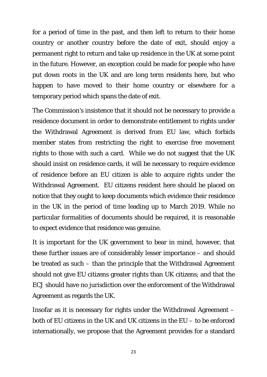for a period of time in the past, and then left to return to their home country or another country before the date of exit, should enjoy a permanent right to return and take up residence in the UK at some point in the future. However, an exception could be made for people who have put down roots in the UK and are long term residents here, but who happen to have moved to their home country or elsewhere for a temporary period which spans the date of exit.

The Commission's insistence that it should not be necessary to provide a residence document in order to demonstrate entitlement to rights under the Withdrawal Agreement is derived from EU law, which forbids member states from restricting the right to exercise free movement rights to those with such a card. While we do not suggest that the UK should insist on residence cards, it will be necessary to require evidence of residence before an EU citizen is able to acquire rights under the Withdrawal Agreement. EU citizens resident here should be placed on notice that they ought to keep documents which evidence their residence in the UK in the period of time leading up to March 2019. While no particular formalities of documents should be required, it is reasonable to expect evidence that residence was genuine.

It is important for the UK government to bear in mind, however, that these further issues are of considerably lesser importance – and should be treated as such – than the principle that the Withdrawal Agreement should not give EU citizens greater rights than UK citizens; and that the ECJ should have no jurisdiction over the enforcement of the Withdrawal Agreement as regards the UK.

Insofar as it is necessary for rights under the Withdrawal Agreement – both of EU citizens in the UK and UK citizens in the EU – to be enforced internationally, we propose that the Agreement provides for a standard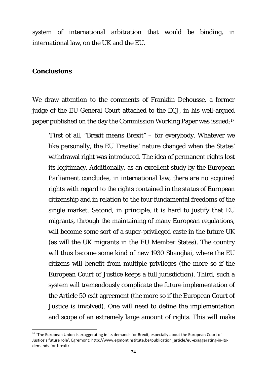system of international arbitration that would be binding, in international law, on the UK and the EU.

#### **Conclusions**

We draw attention to the comments of Franklin Dehousse, a former judge of the EU General Court attached to the ECJ, in his well-argued paper published on the day the Commission Working Paper was issued:17

'First of all, "Brexit means Brexit" – for everybody. Whatever we like personally, the EU Treaties' nature changed when the States' withdrawal right was introduced. The idea of permanent rights lost its legitimacy. Additionally, as an excellent study by the European Parliament concludes, in international law, there are no acquired rights with regard to the rights contained in the status of European citizenship and in relation to the four fundamental freedoms of the single market. Second, in principle, it is hard to justify that EU migrants, through the maintaining of many European regulations, will become some sort of a super-privileged caste in the future UK (as will the UK migrants in the EU Member States). The country will thus become some kind of new 1930 Shanghai, where the EU citizens will benefit from multiple privileges (the more so if the European Court of Justice keeps a full jurisdiction). Third, such a system will tremendously complicate the future implementation of the Article 50 exit agreement (the more so if the European Court of Justice is involved). One will need to define the implementation and scope of an extremely large amount of rights. This will make

<sup>&</sup>lt;sup>17</sup> 'The European Union is exaggerating in its demands for Brexit, especially about the European Court of Justice's future role', Egremont: http://www.egmontinstitute.be/publication\_article/eu-exaggerating-in-itsdemands‐for‐brexit/